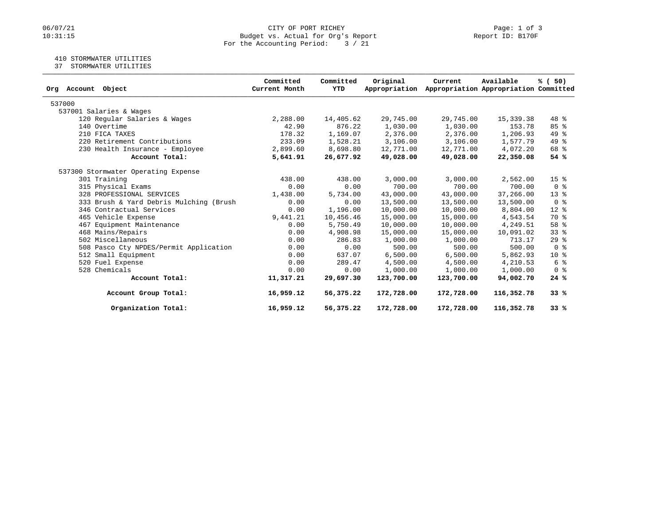# 06/07/21 CITY OF PORT RICHEY Page: 1 of 3<br>10:31:15 Budget vs. Actual for Org's Report Permit in the Report ID: B170F Budget vs. Actual for Org's Report For the Accounting Period: 3 / 21

### 410 STORMWATER UTILITIES

37 STORMWATER UTILITIES

| Org Account Object                      | Committed<br>Current Month | Committed<br><b>YTD</b> | Original<br>Appropriation | Current    | Available<br>Appropriation Appropriation Committed | % (50)                  |
|-----------------------------------------|----------------------------|-------------------------|---------------------------|------------|----------------------------------------------------|-------------------------|
| 537000                                  |                            |                         |                           |            |                                                    |                         |
| 537001 Salaries & Wages                 |                            |                         |                           |            |                                                    |                         |
| 120 Regular Salaries & Wages            | 2,288.00                   | 14,405.62               | 29,745.00                 | 29,745.00  | 15,339.38                                          | 48 %                    |
| 140 Overtime                            | 42.90                      | 876.22                  | 1,030.00                  | 1,030.00   | 153.78                                             | 85%                     |
| 210 FICA TAXES                          | 178.32                     | 1,169.07                | 2,376.00                  | 2,376.00   | 1,206.93                                           | 49 %                    |
| 220 Retirement Contributions            | 233.09                     | 1,528.21                | 3,106.00                  | 3,106.00   | 1,577.79                                           | 49 %                    |
| 230 Health Insurance - Employee         | 2,899.60                   | 8,698.80                | 12,771.00                 | 12,771.00  | 4,072.20                                           | 68 %                    |
| Account Total:                          | 5,641.91                   | 26,677.92               | 49,028.00                 | 49,028.00  | 22,350.08                                          | 54 %                    |
| 537300 Stormwater Operating Expense     |                            |                         |                           |            |                                                    |                         |
| 301 Training                            | 438.00                     | 438.00                  | 3,000.00                  | 3,000.00   | 2,562.00                                           | 15 <sup>8</sup>         |
| 315 Physical Exams                      | 0.00                       | 0.00                    | 700.00                    | 700.00     | 700.00                                             | 0 <sup>8</sup>          |
| 328 PROFESSIONAL SERVICES               | 1,438.00                   | 5,734.00                | 43,000.00                 | 43,000.00  | 37,266.00                                          | $13*$                   |
| 333 Brush & Yard Debris Mulching (Brush | 0.00                       | 0.00                    | 13,500.00                 | 13,500.00  | 13,500.00                                          | 0 <sup>8</sup>          |
| 346 Contractual Services                | 0.00                       | 1,196.00                | 10,000.00                 | 10,000.00  | 8,804.00                                           | $12*$                   |
| 465 Vehicle Expense                     | 9,441.21                   | 10,456.46               | 15,000.00                 | 15,000.00  | 4,543.54                                           | 70 %                    |
| 467 Equipment Maintenance               | 0.00                       | 5,750.49                | 10,000.00                 | 10,000.00  | 4,249.51                                           | 58 %                    |
| 468 Mains/Repairs                       | 0.00                       | 4,908.98                | 15,000.00                 | 15,000.00  | 10,091.02                                          | 33%                     |
| 502 Miscellaneous                       | 0.00                       | 286.83                  | 1,000.00                  | 1,000.00   | 713.17                                             | $29$ $%$                |
| 508 Pasco Cty NPDES/Permit Application  | 0.00                       | 0.00                    | 500.00                    | 500.00     | 500.00                                             | $0 \text{ }$ $\text{ }$ |
| 512 Small Equipment                     | 0.00                       | 637.07                  | 6,500.00                  | 6,500.00   | 5,862.93                                           | $10*$                   |
| 520 Fuel Expense                        | 0.00                       | 289.47                  | 4,500.00                  | 4,500.00   | 4,210.53                                           | 6 %                     |
| 528 Chemicals                           | 0.00                       | 0.00                    | 1,000.00                  | 1,000.00   | 1,000.00                                           | 0 <sup>8</sup>          |
| Account Total:                          | 11,317.21                  | 29,697.30               | 123,700.00                | 123,700.00 | 94,002.70                                          | 24%                     |
| Account Group Total:                    | 16,959.12                  | 56,375.22               | 172,728.00                | 172,728.00 | 116,352.78                                         | 33%                     |
| Organization Total:                     | 16,959.12                  | 56,375.22               | 172,728.00                | 172,728.00 | 116,352.78                                         | 33%                     |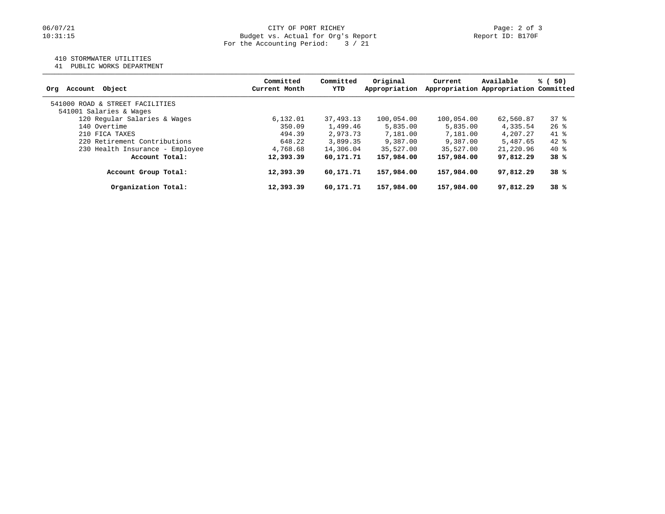### 410 STORMWATER UTILITIES

41 PUBLIC WORKS DEPARTMENT

| Account Object<br>Ora           | Committed<br>Current Month | Committed<br>YTD | Original<br>Appropriation | Current    | Available<br>Appropriation Appropriation Committed | % (<br>50) |
|---------------------------------|----------------------------|------------------|---------------------------|------------|----------------------------------------------------|------------|
| 541000 ROAD & STREET FACILITIES |                            |                  |                           |            |                                                    |            |
| 541001 Salaries & Wages         |                            |                  |                           |            |                                                    |            |
| 120 Regular Salaries & Wages    | 6,132.01                   | 37,493.13        | 100,054.00                | 100,054.00 | 62,560.87                                          | 378        |
| 140 Overtime                    | 350.09                     | 1,499.46         | 5,835.00                  | 5,835.00   | 4,335.54                                           | $26$ %     |
| 210 FICA TAXES                  | 494.39                     | 2,973.73         | 7,181.00                  | 7,181.00   | 4,207.27                                           | 41 %       |
| 220 Retirement Contributions    | 648.22                     | 3,899.35         | 9,387.00                  | 9,387.00   | 5,487.65                                           | $42$ %     |
| 230 Health Insurance - Employee | 4,768.68                   | 14,306.04        | 35,527.00                 | 35,527.00  | 21,220.96                                          | 40 %       |
| Account Total:                  | 12,393.39                  | 60,171.71        | 157,984.00                | 157,984.00 | 97,812.29                                          | 38%        |
| Account Group Total:            | 12,393.39                  | 60,171.71        | 157,984.00                | 157,984.00 | 97,812.29                                          | 38%        |
| Organization Total:             | 12,393.39                  | 60,171.71        | 157,984.00                | 157,984.00 | 97,812.29                                          | 38%        |